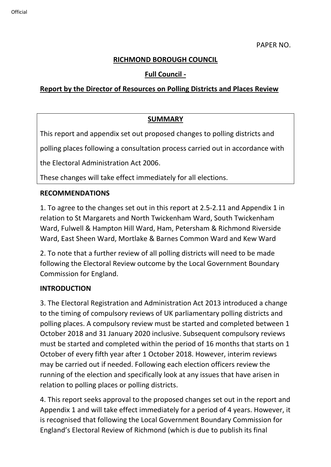#### **RICHMOND BOROUGH COUNCIL**

## **Full Council -**

## **Report by the Director of Resources on Polling Districts and Places Review**

# **SUMMARY**

This report and appendix set out proposed changes to polling districts and

polling places following a consultation process carried out in accordance with

the Electoral Administration Act 2006.

These changes will take effect immediately for all elections.

#### **RECOMMENDATIONS**

1. To agree to the changes set out in this report at 2.5-2.11 and Appendix 1 in relation to St Margarets and North Twickenham Ward, South Twickenham Ward, Fulwell & Hampton Hill Ward, Ham, Petersham & Richmond Riverside Ward, East Sheen Ward, Mortlake & Barnes Common Ward and Kew Ward

2. To note that a further review of all polling districts will need to be made following the Electoral Review outcome by the Local Government Boundary Commission for England.

#### **INTRODUCTION**

3. The Electoral Registration and Administration Act 2013 introduced a change to the timing of compulsory reviews of UK parliamentary polling districts and polling places. A compulsory review must be started and completed between 1 October 2018 and 31 January 2020 inclusive. Subsequent compulsory reviews must be started and completed within the period of 16 months that starts on 1 October of every fifth year after 1 October 2018. However, interim reviews may be carried out if needed. Following each election officers review the running of the election and specifically look at any issues that have arisen in relation to polling places or polling districts.

4. This report seeks approval to the proposed changes set out in the report and Appendix 1 and will take effect immediately for a period of 4 years. However, it is recognised that following the Local Government Boundary Commission for England's Electoral Review of Richmond (which is due to publish its final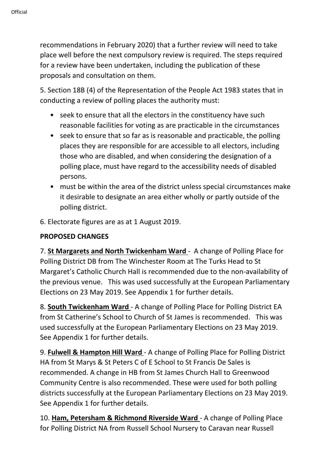recommendations in February 2020) that a further review will need to take place well before the next compulsory review is required. The steps required for a review have been undertaken, including the publication of these proposals and consultation on them.

5. Section 18B (4) of the Representation of the People Act 1983 states that in conducting a review of polling places the authority must:

- seek to ensure that all the electors in the constituency have such reasonable facilities for voting as are practicable in the circumstances
- seek to ensure that so far as is reasonable and practicable, the polling places they are responsible for are accessible to all electors, including those who are disabled, and when considering the designation of a polling place, must have regard to the accessibility needs of disabled persons.
- must be within the area of the district unless special circumstances make it desirable to designate an area either wholly or partly outside of the polling district.
- 6. Electorate figures are as at 1 August 2019.

# **PROPOSED CHANGES**

7. **St Margarets and North Twickenham Ward** - A change of Polling Place for Polling District DB from The Winchester Room at The Turks Head to St Margaret's Catholic Church Hall is recommended due to the non-availability of the previous venue. This was used successfully at the European Parliamentary Elections on 23 May 2019. See Appendix 1 for further details.

8. **South Twickenham Ward** - A change of Polling Place for Polling District EA from St Catherine's School to Church of St James is recommended. This was used successfully at the European Parliamentary Elections on 23 May 2019. See Appendix 1 for further details.

9. **Fulwell & Hampton Hill Ward** - A change of Polling Place for Polling District HA from St Marys & St Peters C of E School to St Francis De Sales is recommended. A change in HB from St James Church Hall to Greenwood Community Centre is also recommended. These were used for both polling districts successfully at the European Parliamentary Elections on 23 May 2019. See Appendix 1 for further details.

10. **Ham, Petersham & Richmond Riverside Ward** - A change of Polling Place for Polling District NA from Russell School Nursery to Caravan near Russell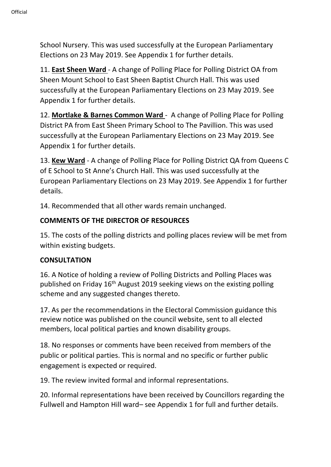School Nursery. This was used successfully at the European Parliamentary Elections on 23 May 2019. See Appendix 1 for further details.

11. **East Sheen Ward** - A change of Polling Place for Polling District OA from Sheen Mount School to East Sheen Baptist Church Hall. This was used successfully at the European Parliamentary Elections on 23 May 2019. See Appendix 1 for further details.

12. **Mortlake & Barnes Common Ward** - A change of Polling Place for Polling District PA from East Sheen Primary School to The Pavillion. This was used successfully at the European Parliamentary Elections on 23 May 2019. See Appendix 1 for further details.

13. **Kew Ward** - A change of Polling Place for Polling District QA from Queens C of E School to St Anne's Church Hall. This was used successfully at the European Parliamentary Elections on 23 May 2019. See Appendix 1 for further details.

14. Recommended that all other wards remain unchanged.

# **COMMENTS OF THE DIRECTOR OF RESOURCES**

15. The costs of the polling districts and polling places review will be met from within existing budgets.

## **CONSULTATION**

16. A Notice of holding a review of Polling Districts and Polling Places was published on Friday  $16<sup>th</sup>$  August 2019 seeking views on the existing polling scheme and any suggested changes thereto.

17. As per the recommendations in the Electoral Commission guidance this review notice was published on the council website, sent to all elected members, local political parties and known disability groups.

18. No responses or comments have been received from members of the public or political parties. This is normal and no specific or further public engagement is expected or required.

19. The review invited formal and informal representations.

20. Informal representations have been received by Councillors regarding the Fullwell and Hampton Hill ward– see Appendix 1 for full and further details.